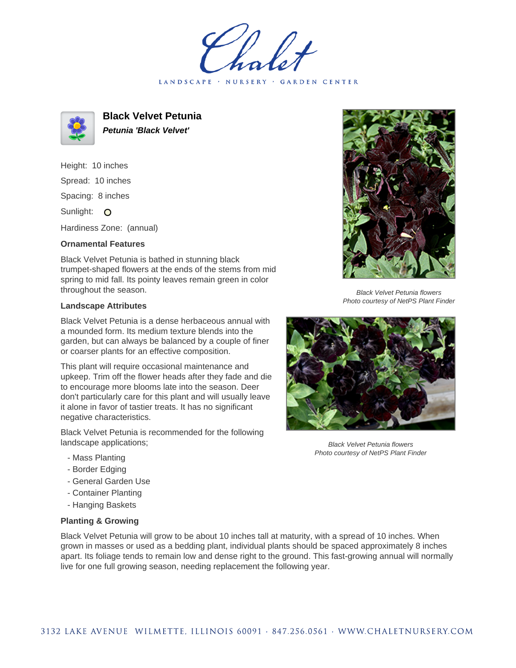LANDSCAPE · NURSERY · GARDEN CENTER



**Black Velvet Petunia Petunia 'Black Velvet'**

Height: 10 inches Spread: 10 inches Spacing: 8 inches Sunlight: O

Hardiness Zone: (annual)

## **Ornamental Features**

Black Velvet Petunia is bathed in stunning black trumpet-shaped flowers at the ends of the stems from mid spring to mid fall. Its pointy leaves remain green in color throughout the season.

## **Landscape Attributes**

Black Velvet Petunia is a dense herbaceous annual with a mounded form. Its medium texture blends into the garden, but can always be balanced by a couple of finer or coarser plants for an effective composition.

This plant will require occasional maintenance and upkeep. Trim off the flower heads after they fade and die to encourage more blooms late into the season. Deer don't particularly care for this plant and will usually leave it alone in favor of tastier treats. It has no significant negative characteristics.

Black Velvet Petunia is recommended for the following landscape applications;

- Mass Planting
- Border Edging
- General Garden Use
- Container Planting
- Hanging Baskets

## **Planting & Growing**

Black Velvet Petunia will grow to be about 10 inches tall at maturity, with a spread of 10 inches. When grown in masses or used as a bedding plant, individual plants should be spaced approximately 8 inches apart. Its foliage tends to remain low and dense right to the ground. This fast-growing annual will normally live for one full growing season, needing replacement the following year.



Black Velvet Petunia flowers Photo courtesy of NetPS Plant Finder



Black Velvet Petunia flowers Photo courtesy of NetPS Plant Finder